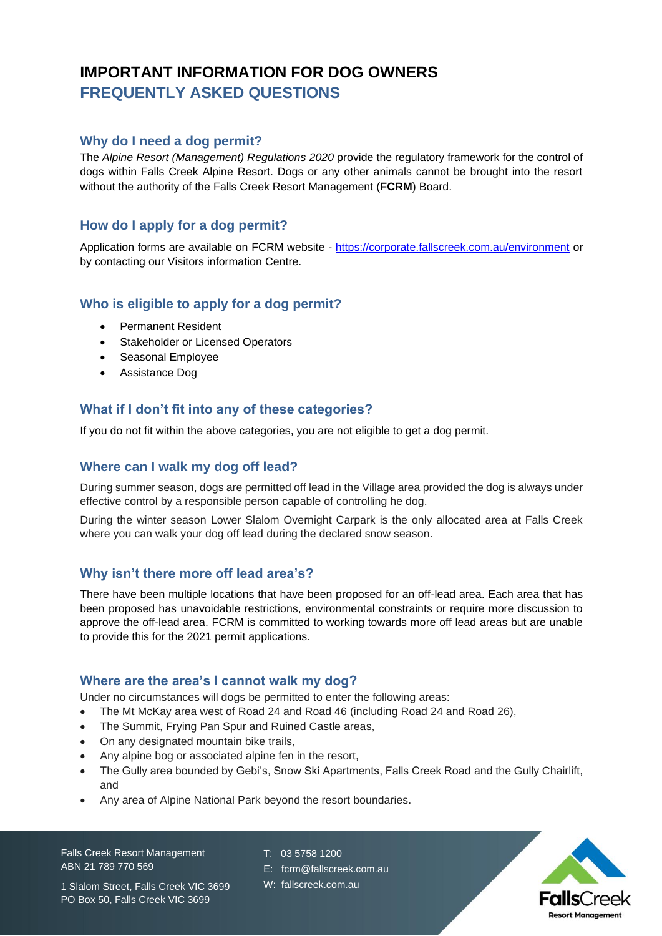# **IMPORTANT INFORMATION FOR DOG OWNERS FREQUENTLY ASKED QUESTIONS**

## **Why do I need a dog permit?**

The *Alpine Resort (Management) Regulations 2020* provide the regulatory framework for the control of dogs within Falls Creek Alpine Resort. Dogs or any other animals cannot be brought into the resort without the authority of the Falls Creek Resort Management (**FCRM**) Board.

## **How do I apply for a dog permit?**

Application forms are available on FCRM website - <https://corporate.fallscreek.com.au/environment> or by contacting our Visitors information Centre.

## **Who is eligible to apply for a dog permit?**

- Permanent Resident
- Stakeholder or Licensed Operators
- Seasonal Employee
- Assistance Dog

## **What if I don't fit into any of these categories?**

If you do not fit within the above categories, you are not eligible to get a dog permit.

## **Where can I walk my dog off lead?**

During summer season, dogs are permitted off lead in the Village area provided the dog is always under effective control by a responsible person capable of controlling he dog.

During the winter season Lower Slalom Overnight Carpark is the only allocated area at Falls Creek where you can walk your dog off lead during the declared snow season.

#### **Why isn't there more off lead area's?**

There have been multiple locations that have been proposed for an off-lead area. Each area that has been proposed has unavoidable restrictions, environmental constraints or require more discussion to approve the off-lead area. FCRM is committed to working towards more off lead areas but are unable to provide this for the 2021 permit applications.

#### **Where are the area's I cannot walk my dog?**

Under no circumstances will dogs be permitted to enter the following areas:

- The Mt McKay area west of Road 24 and Road 46 (including Road 24 and Road 26),
- The Summit, Frying Pan Spur and Ruined Castle areas,
- On any designated mountain bike trails,
- Any alpine bog or associated alpine fen in the resort,
- The Gully area bounded by Gebi's, Snow Ski Apartments, Falls Creek Road and the Gully Chairlift, and
- Any area of Alpine National Park beyond the resort boundaries.

Falls Creek Resort Management ABN 21 789 770 569

T: 03 5758 1200

- E: fcrm@fallscreek.com.au
- W: fallscreek.com.au



1 Slalom Street, Falls Creek VIC 3699 PO Box 50, Falls Creek VIC 3699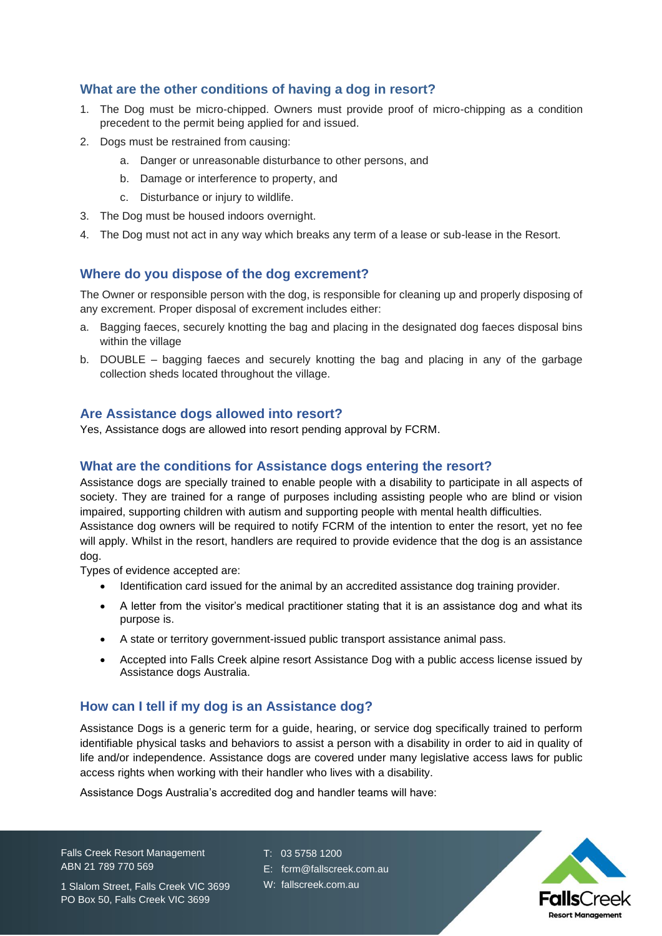## **What are the other conditions of having a dog in resort?**

- 1. The Dog must be micro-chipped. Owners must provide proof of micro-chipping as a condition precedent to the permit being applied for and issued.
- 2. Dogs must be restrained from causing:
	- a. Danger or unreasonable disturbance to other persons, and
	- b. Damage or interference to property, and
	- c. Disturbance or injury to wildlife.
- 3. The Dog must be housed indoors overnight.
- 4. The Dog must not act in any way which breaks any term of a lease or sub-lease in the Resort.

#### **Where do you dispose of the dog excrement?**

The Owner or responsible person with the dog, is responsible for cleaning up and properly disposing of any excrement. Proper disposal of excrement includes either:

- a. Bagging faeces, securely knotting the bag and placing in the designated dog faeces disposal bins within the village
- b. DOUBLE bagging faeces and securely knotting the bag and placing in any of the garbage collection sheds located throughout the village.

#### **Are Assistance dogs allowed into resort?**

Yes, Assistance dogs are allowed into resort pending approval by FCRM.

#### **What are the conditions for Assistance dogs entering the resort?**

Assistance dogs are specially trained to enable people with a disability to participate in all aspects of society. They are trained for a range of purposes including assisting people who are blind or vision impaired, supporting children with autism and supporting people with mental health difficulties. Assistance dog owners will be required to notify FCRM of the intention to enter the resort, yet no fee

will apply. Whilst in the resort, handlers are required to provide evidence that the dog is an assistance dog.

Types of evidence accepted are:

- Identification card issued for the animal by an accredited assistance dog training provider.
- A letter from the visitor's medical practitioner stating that it is an assistance dog and what its purpose is.
- A state or territory government-issued public transport assistance animal pass.
- Accepted into Falls Creek alpine resort Assistance Dog with a public access license issued by Assistance dogs Australia.

## **How can I tell if my dog is an Assistance dog?**

Assistance Dogs is a generic term for a guide, hearing, or service dog specifically trained to perform identifiable physical tasks and behaviors to assist a person with a disability in order to aid in quality of life and/or independence. Assistance dogs are covered under many legislative access laws for public access rights when working with their handler who lives with a disability.

Assistance Dogs Australia's accredited dog and handler teams will have:

Falls Creek Resort Management ABN 21 789 770 569

- T: 03 5758 1200
- E: fcrm@fallscreek.com.au
- W: fallscreek.com.au



1 Slalom Street, Falls Creek VIC 3699 PO Box 50, Falls Creek VIC 3699